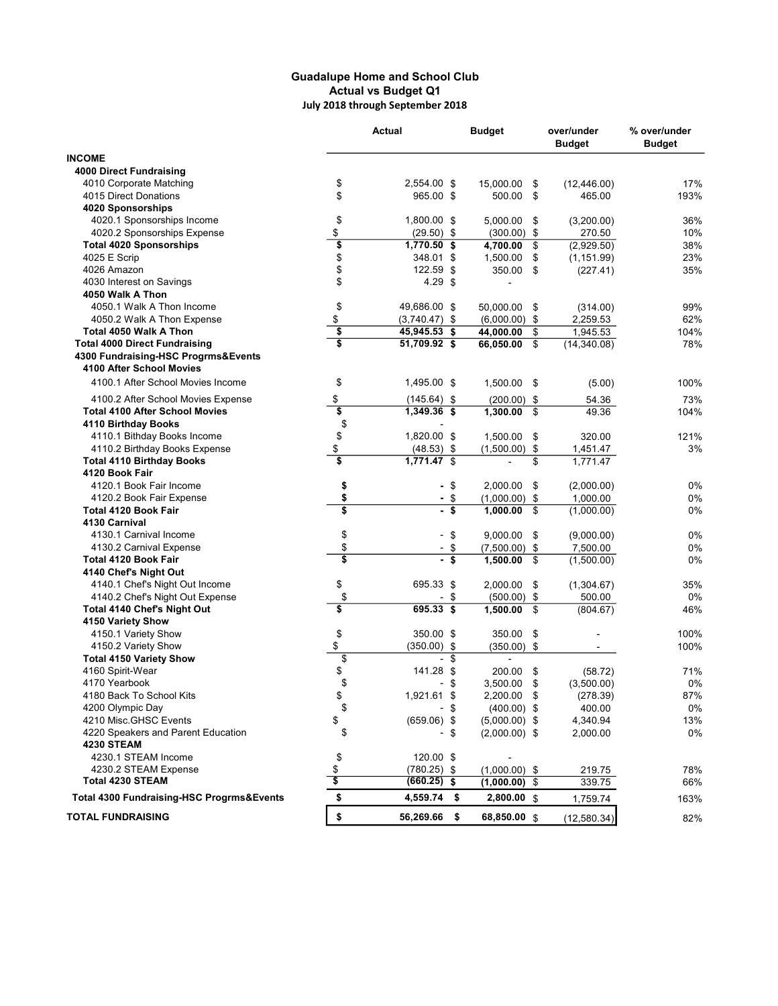## Guadalupe Home and School Club Actual vs Budget Q1 July 2018 through September 2018

|                                           |                                      | Actual               | <b>Budget</b>    | over/under<br><b>Budget</b> | % over/under<br><b>Budget</b> |
|-------------------------------------------|--------------------------------------|----------------------|------------------|-----------------------------|-------------------------------|
| <b>INCOME</b>                             |                                      |                      |                  |                             |                               |
| <b>4000 Direct Fundraising</b>            |                                      |                      |                  |                             |                               |
| 4010 Corporate Matching                   | \$                                   | 2,554.00 \$          | 15,000.00<br>\$  | (12, 446.00)                | 17%                           |
| 4015 Direct Donations                     | \$                                   | 965.00 \$            | 500.00<br>\$     | 465.00                      | 193%                          |
| 4020 Sponsorships                         |                                      |                      |                  |                             |                               |
| 4020.1 Sponsorships Income                | \$                                   | 1,800.00 \$          | 5,000.00<br>\$   | (3,200.00)                  | 36%                           |
| 4020.2 Sponsorships Expense               | \$                                   | $(29.50)$ \$         | $(300.00)$ \$    | 270.50                      | 10%                           |
| <b>Total 4020 Sponsorships</b>            | \$                                   | $1,770.50$ \$        | 4,700.00<br>\$   | (2,929.50)                  | 38%                           |
| 4025 E Scrip                              | \$                                   | 348.01 \$            | 1,500.00<br>\$   | (1, 151.99)                 | 23%                           |
| 4026 Amazon                               | \$                                   | 122.59 \$            | 350.00<br>\$     | (227.41)                    | 35%                           |
| 4030 Interest on Savings                  | \$                                   | $4.29$ \$            |                  |                             |                               |
| 4050 Walk A Thon                          |                                      |                      |                  |                             |                               |
| 4050.1 Walk A Thon Income                 | \$                                   | 49,686.00 \$         | 50,000.00<br>\$  | (314.00)                    | 99%                           |
| 4050.2 Walk A Thon Expense                | \$                                   | $(3,740.47)$ \$      | $(6,000.00)$ \$  | 2,259.53                    | 62%                           |
| Total 4050 Walk A Thon                    | $\overline{\boldsymbol{\mathsf{s}}}$ | 45,945.53 \$         | 44,000.00<br>\$  | 1,945.53                    | 104%                          |
| <b>Total 4000 Direct Fundraising</b>      | s                                    | 51,709.92 \$         | \$<br>66,050.00  | (14,340.08)                 | 78%                           |
| 4300 Fundraising-HSC Progrms&Events       |                                      |                      |                  |                             |                               |
| 4100 After School Movies                  |                                      |                      |                  |                             |                               |
| 4100.1 After School Movies Income         | \$                                   | 1,495.00 \$          | 1,500.00<br>- \$ | (5.00)                      | 100%                          |
| 4100.2 After School Movies Expense        | \$                                   | $(145.64)$ \$        | $(200.00)$ \$    | 54.36                       | 73%                           |
| <b>Total 4100 After School Movies</b>     | \$                                   | 1,349.36 \$          | \$<br>1,300.00   | 49.36                       | 104%                          |
| 4110 Birthday Books                       | \$                                   |                      |                  |                             |                               |
| 4110.1 Bithday Books Income               | \$                                   | 1,820.00 \$          | 1,500.00<br>\$   | 320.00                      | 121%                          |
| 4110.2 Birthday Books Expense             | \$                                   | $(48.53)$ \$         | (1,500.00)<br>\$ | 1,451.47                    | 3%                            |
| <b>Total 4110 Birthday Books</b>          | $\overline{\mathbf{s}}$              | 1,771.47 \$          | \$               | 1,771.47                    |                               |
| 4120 Book Fair                            |                                      |                      |                  |                             |                               |
| 4120.1 Book Fair Income                   | \$                                   | -\$                  | 2,000.00<br>\$   | (2,000.00)                  | 0%                            |
| 4120.2 Book Fair Expense                  | \$                                   | -\$                  | $(1,000.00)$ \$  | 1,000.00                    | 0%                            |
| <b>Total 4120 Book Fair</b>               | $\overline{\mathbf{s}}$              | - \$                 | 1,000.00<br>\$   | (1,000.00)                  | 0%                            |
| 4130 Carnival                             |                                      |                      |                  |                             |                               |
| 4130.1 Carnival Income                    | \$                                   | \$                   | 9,000.00<br>\$   | (9,000.00)                  | 0%                            |
| 4130.2 Carnival Expense                   | \$                                   | \$                   | (7,500.00)<br>\$ | 7,500.00                    | 0%                            |
| Total 4120 Book Fair                      | \$                                   | \$                   | 1,500.00<br>\$   | (1,500.00)                  | 0%                            |
| 4140 Chef's Night Out                     |                                      |                      |                  |                             |                               |
| 4140.1 Chef's Night Out Income            | \$                                   | 695.33 \$            | 2,000.00<br>\$   | (1,304.67)                  | 35%                           |
| 4140.2 Chef's Night Out Expense           | \$                                   | \$                   | $(500.00)$ \$    | 500.00                      | 0%                            |
| <b>Total 4140 Chef's Night Out</b>        | \$                                   | 695.33 \$            | 1,500.00<br>\$   | (804.67)                    | 46%                           |
| 4150 Variety Show                         |                                      |                      |                  |                             |                               |
| 4150.1 Variety Show                       | \$                                   | 350.00 \$            | 350.00<br>\$     |                             | 100%                          |
| 4150.2 Variety Show                       | \$                                   | $(350.00)$ \$        | $(350.00)$ \$    | $\blacksquare$              | 100%                          |
| <b>Total 4150 Variety Show</b>            | $\overline{\$}$                      | \$<br>$\blacksquare$ | $\blacksquare$   |                             |                               |
| 4160 Spirit-Wear                          | \$                                   | 141.28 \$            | 200.00<br>\$     | (58.72)                     | 71%                           |
| 4170 Yearbook                             | \$                                   | \$<br>-              | \$<br>3,500.00   | (3,500.00)                  | 0%                            |
| 4180 Back To School Kits                  | \$                                   | 1,921.61 \$          | 2,200.00 \$      | (278.39)                    | 87%                           |
| 4200 Olympic Day                          | \$                                   | - \$                 | $(400.00)$ \$    | 400.00                      | 0%                            |
| 4210 Misc.GHSC Events                     | \$                                   | $(659.06)$ \$        | $(5,000.00)$ \$  | 4,340.94                    | 13%                           |
| 4220 Speakers and Parent Education        | \$                                   | - \$                 | $(2,000.00)$ \$  | 2,000.00                    | 0%                            |
| <b>4230 STEAM</b>                         |                                      |                      |                  |                             |                               |
| 4230.1 STEAM Income                       | \$                                   | 120.00 \$            |                  |                             |                               |
| 4230.2 STEAM Expense                      | \$                                   | $(780.25)$ \$        | $(1,000.00)$ \$  | 219.75                      | 78%                           |
| <b>Total 4230 STEAM</b>                   | \$                                   | (660.25) \$          | $(1,000.00)$ \$  | 339.75                      | 66%                           |
| Total 4300 Fundraising-HSC Progrms&Events | \$                                   | 4,559.74 \$          | 2,800.00 \$      | 1,759.74                    | 163%                          |
| <b>TOTAL FUNDRAISING</b>                  | \$                                   | 56,269.66<br>- \$    | 68,850.00 \$     | (12, 580.34)                | 82%                           |